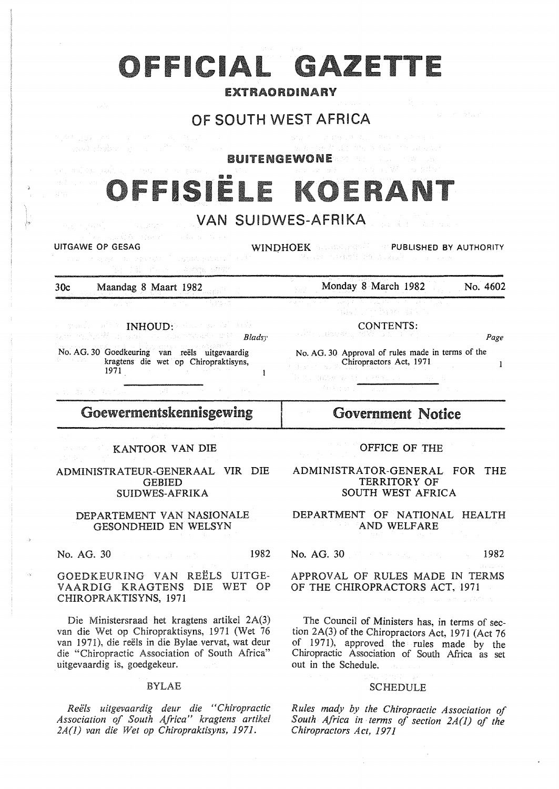## OFFICIAL GAZETTE

#### EXTRAORDINARY

## OF SOUTH WEST AFRICA

BUITENGEWONE

# ISIË

## VAN SUIDWES-AFRIKA

UITGAWE OP GESAG WINDHOEK RESERVED BY AUTHORITY

30c Maandag 8 Maart 1982

Monday 8 March 1982 No. 4602

INHOUD: **Bladsy** 

No. AG. 30 Goedkeuring van reels uitgevaardig kragtens die wet op Chiropraktisyns, 1971  $\mathbf{1}$ 

CONTENTS: Page

No. AG. 30 Approval of rules made in terms of the Chiropractors Act, 1971  $\mathbf{1}$ 

## Goewermentskennisgewing

#### KANTOOR VAN DIE

#### ADMINISTRATEUR-GENERAAL VIR DIE GEBIED SUIDWES-AFRIKA

#### DEPARTEMENT VAN NASIONALE GESONDHEID EN WELSYN

No. AG. 30 1982

GOEDKEURING VAN REELS UITGE-VAARDIG KRAGTENS DIE WET OP CHIROPRAKTISYNS, 1971

Die Ministersraad het kragtens artikel 2A(3) van die Wet op Chiropraktisyns, 1971 (Wet 76 van 1971), die reëls in die Bylae vervat, wat deur die "Chiropractic Association of South Africa" uitgevaardig is, goedgekeur.

#### BYLAE

*Reels uitgevaardig deur die "Chiropractic Association of South Africa" kragtens artikel 2A(J) van die Wet op Chiropraktisyns, 1971.* 

## Government Notice

#### OFFICE OF THE

#### ADMINISTRATOR-GENERAL FOR THE TERRITORY OF SOUTH WEST AFRICA

#### DEPARTMENT OF NATIONAL HEALTH AND WELFARE

No. AG. 30 1982

APPROVAL OF RULES MADE IN TERMS OF THE CHIROPRACTORS ACT, 1971

The Council of Ministers has, in terms of section 2A(3) of the Chiropractors Act, 1971 (Act 76 of 1971), approved the rules made by the Chiropractic Association of South Africa as set out in the Schedule.

#### SCHEDULE

*Rules mady by the Chiropractic Association of South Africa in terms of section 2A(l) of the Chiropractors Act, 1971*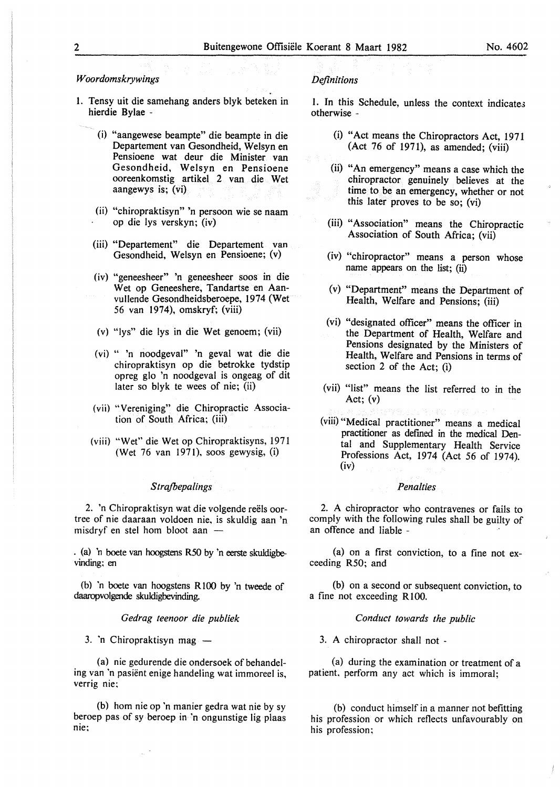#### *W oordomskrywings*

- l. Tensy uit die samehang anders blyk beteken in hierdie Bylae -
	- (i) "aangewese beampte" die beampte in die Departement van Gesondheid, Welsyn en Pensioene wat deur die Minister van Gesondheid, Welsyn en Pensioene ooreenkomstig artikel 2 van die Wet aangewys is; (vi)
	- (ii) "chiropraktisyn" 'n persoon wie se naam op die lys verskyn; (iv)
	- (iii) "Departement" die Departement van Gesondheid, Welsyn en Pensioene; (v)
	- (iv) "geneesheer" 'n geneesheer soos in die Wet op Geneeshere, Tandartse en Aanvullende Gesondheidsberoepe, 1974 (Wet 56 van 1974), omskryf; (viii)
	- (v) "lys" die lys in die Wet genoem; (vii)
	- (vi) " 'n noodgeval" 'n geval wat die die chiropraktisyn op die betrokke tydstip opreg glo 'n noodgeval is ongeag of dit later so blyk te wees of nie; (ii)
	- (vii) "Vereniging" die Chiropractic Association of South Africa; (iii)
	- (viii) "Wet" die Wet op Chiropraktisyns, 1971 (Wet 76 van 1971), soos gewysig, (i)

#### *S trajbepalings*

2. 'n Chiropraktisyn wat die volgende reëls oortree of nie daaraan voldoen nie, is skuldig aan 'n misdryf en stel hom bloot aan  $-$ 

. (a) 'n boete van hoogstens R50 by 'n eerste skuldigbevinding; en

(b) 'n boete van hoogstens RIOO by 'n tweede of daaropvolgende skuldigbevinding.

*Gedrag teenoor die publiek* 

3. 'n Chiropraktisyn mag  $-$ 

(a) nie gedurende die ondersoek of behandeling van 'n pasient enige handeling wat immoreel is, verrig nie;

(b) hom nie op 'n manier gedra wat nie by sy beroep pas of sy beroep in 'n ongunstige lig plaas nie;

#### *Definitions*

l. In this Schedule, unless the context indicates otherwise -

- (i) "Act means the Chiropractors Act, 1971 (Act 76 of 1971), as amended; (viii)
- (ii) "An emergency'' means a case which the chiropractor genuinely believes at the time to be an emergency, whether or not this later proves to be so; (vi)
- (iii) "Association" means the Chiropractic Association of South Africa; (vii)
- (iv) "chiropractor" means a person whose name appears on the list; (ii)
- (v) "Department" means the Department of Health, Welfare and Pensions; (iii)
- (vi) "designated officer" means the officer in the Department of Health, Welfare and Pensions designated by the Ministers of Health, Welfare and Pensions in terms of section 2 of the Act; (i)
- (vii) "list" means the list referred to in the Act;  $(v)$
- (viii) "Medical practitioner" means a medical practitioner as defmed in the medical Dental and Supplementary Health Service Professions Act, 1974 (Act 56 of 1974). (iv)

#### *Penalties*

2. A chiropractor who contravenes or fails to comply with the following rules shall be guilty of an offence and liable -

(a) on a first conviction, to a fine not exceeding R50; and

(b) on a second or subsequent conviction, to a fine not exceeding R 100.

#### *Conduct towards the public*

3. A chiropractor shall not -

(a) during the examination or treatment of a patient. perform any act which is immoral;

(b) conduct himself in a manner not befitting his profession or which reflects unfavourably on his profession;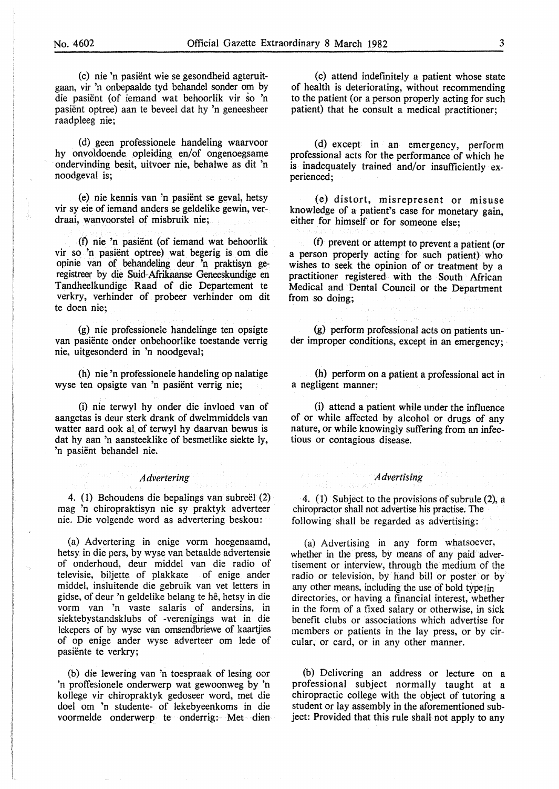(c) nie 'n pasient wie se gesondheid agteruitgaan, vir 'n onbepaalde tyd behandel sonder om by die pasient (of iemand wat behoorlik vir so 'n pasient optree) aan te beveel dat hy 'n geneesheer raadpleeg nie;

(d). geen professionele handeling waarvoor hy onvoldoende opleiding en/of ongenoegsame ondervinding besit, uitvoer nie, behalwe as dit 'n noodgeval is;

(e) nie kennis van 'n pasient se geval, betsy vir sy eie of iemand anders se geldelike gewin, verdraai, wanvoorstel of misbruik nie;

(f) nie 'n pasient (of iemand wat behoorlik vir so 'n pasient optree) wat begerig is om die opinie van of behandeling deur 'n praktisyn geregistreer by die Suid-Afrikaanse Geneeskundige en Tandheelkundige Raad of die Departement te verkry, verhinder of probeer verhinder om dit te doen nie;

(g) nie professionele handelinge ten opsigte van pasiente onder onbehoorlike toestande verrig nie, uitgesonderd in 'n noodgeval;

(h) nie 'n professionele handeling op nalatige wyse ten opsigte van 'n pasient verrig nie;

(i) nie terwyl hy onder die invloed van of aangetas is deur sterk drank of dwelmmiddels van watter aard ook al of terwyl hy daarvan bewus is dat hy aan 'n aansteeklike of besmetlike siekte ly, 'n pasient behandel nie.

#### *Advertering*

4. (1) Behoudens die bepalings van subreel (2) mag 'n chiropraktisyn nie sy praktyk adverteer nie. Die volgende word as advertering beskou:

(a) Advertering in enige vorm hoegenaamd, betsy in die pers, by wyse van betaalde advertensie of onderhoud, deur middel van die radio of televisie, biljette of plakkate of enige ander middel, insluitende die gebruik van vet letters in gidse, of deur 'n geldelike belang te he, betsy in die vorm van 'n vaste salaris of andersins, in siektebystandsklubs of -verenigings wat in die lekepers of by wyse van omsendbriewe of kaartjies of op enige ander wyse adverteer om lede of pasiënte te verkry;

(b) die lewering van 'n toespraak of lesing oor 'n proffesionele onderwerp wat gewoonweg by 'n kollege vir chiropraktyk gedoseer word, met die doel om 'n studente- of lekebyeenkoms in die voormelde onderwerp te onderrig: Met dien

(c) attend indefinitely a patient whose state of health is deteriorating, without recommending to the patient (or a person properly acting for such patient) that he consult a medical practitioner;

(d) except in an emergency, perform professional acts for the performance of which he is inadequately trained and/or insufficiently experienced;

(e) distort, misrepresent or misuse knowledge of a patient's case for monetary gain, either for himself or for someone else;

(f) prevent or attempt to prevent a patient (or a person properly acting for such patient) who wishes to seek the opinion of or treatment by a practitioner registered with the South African Medical and Dental Council or the Department from so doing;

(g) perform professional acts on patients under improper conditions, except in an emergency;

(h) perform on a patient a professional act in a negligent manner;

(i) attend a patient while under the influence of or while affected by alcohol or drugs of any nature, or while knowingly suffering from an infectious or contagious disease.

#### *Advertising*

4. (1) Subject to the provisions of subrule (2), a chiropractor shall not advertise his practise. The following shall be regarded as advertising:

(a) Advertising in any form whatsoever, whether in the press, by means of any paid advertisement or interview, through the medium of the radio or television, by hand bill or poster or by any other means, including the use of bold type in directories, or having a financial interest, whether in the form of a fixed salary or otherwise, in sick benefit clubs or associations which advertise for members or patients in the lay press, or by circular, or card, or in any other manner.

(b) Delivering an address or lecture on a professional subject normally taught at a chiropractic college with the object of tutoring a student or lay assembly in the aforementioned subject: Provided that this rule shall not apply to any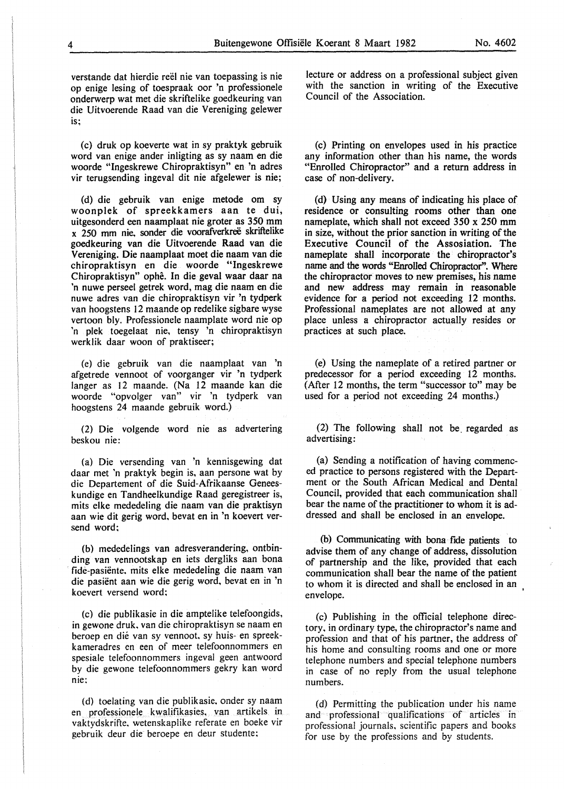verstande dat hierdie reël nie van toepassing is nie op enige lesing of toespraak oor 'n professionele onderwerp wat met die skriftelike goedkeuring van die Uitvoerende Raad van die Vereniging gelewer is;

(c) druk op koeverte wat in sy praktyk gebruik word van enige ander inligting as sy naam en die woorde "Ingeskrewe Chiropraktisyn" en 'n adres vir terugsending ingeval dit nie afgelewer is nie;

(d) die gebruik van enige metode om sy woonplek of spreekkamers aan te dui, uitgesonderd een naamplaat nie groter as 350 mm x 250 mm nie, sonder die voorafverkreë skriftelike goedkeuring van die Uitvoerende Raad van die Vereniging. Die naamplaat moet die naam van die chiropraktisyn en die woorde "Ingeskrewe Chiropraktisyn" ophe. In die geval waar daar na 'n nuwe perseel getrek word, mag die naam en die nuwe adres van die chiropraktisyn vir 'n tydperk van hoogstens 12 maande op redelike sigbare wyse vertoon bly. Professionele naamplate word nie op 'n plek toegelaat nie, tensy 'n chiropraktisyn werklik daar woon of praktiseer;

(e) die gebruik van die naamplaat van 'n afgetrede vennoot of voorganger vir 'n tydperk Ianger as 12 maande. (Na 12 maande kan die woorde "opvolger van" vir 'n tydperk van hoogstens 24 maande gebruik word.)

(2) Die volgende word nie as advertering beskou nie:

(a) Die versending van 'n kennisgewing dat daar met 'n praktyk begin is, aan persone wat by die Departement of die Suid-Afrikaanse Geneeskundige en Tandheelkundige Raad geregistreer is, mits elke mededeling die naam van die praktisyn aan wie dit gerig word. bevat en in 'n koevert versend word;

(b) mededelings van adresverandering, ontbinding van vennootskap en iets dergliks aan bona fide-pasiente. mits elke mededeling die naam van die pasient aan wie die gerig word, bevat en in 'n koevert versend word;

(c) die publikasie in die amptelike telefoongids, in gewone druk. van die chiropraktisyn se naam en beroep en die van sy vennoot. sy huis- en spreekkameradres en een of meer telefoonnommers en spesiale telefoonnommers ingeval geen antwoord by die gewone telefoonnommers gekry kan word nie;

(d) toelating van die publikasie. onder sy naam en professionele kwalifikasies. van artikels in vaktydskrifte. wetenskaplike referate en boeke vir gebruik deur die beroepe en deur studente;

lecture or address on a professional subject given with the sanction in writing of the Executive Council of the Association.

(c) Printing on envelopes used in his practice any information other than his name, the words "Enrolled Chiropractor" and a return address in case of non-delivery.

(d) Using any means of indicating his place of residence or consulting rooms other than one nameplate, which shall not exceed 350 x 250 mm in size, without the prior sanction in writing of the Executive Council of the Assosiation. The nameplate shall incorporate the chiropractor's name and the words "Enrolled Chiropractor". Where the chiropractor moves to new premises, his name and new address may remain in reasonable evidence for a period not exceeding 12 months. Professional nameplates are not allowed at any place unless a chiropractor actually resides or practices at such place.

(e) Using the nameplate of a retired partner or predecessor for a period exceeding 12 months. (After 12 months, the term "successor to" may be used for a period not exceeding 24 months.)

(2) The following shall not be\_ regarded as advertising:

(a) Sending a notification of having commenced practice to persons registered with the Department or the South African Medical and Dental Council, provided that each communication shall bear the name of the practitioner to whom it is addressed and shall be enclosed in an envelope.

(b) Communicating with bona fide patients to advise them of any change of address, dissolution of partnership and the like, provided that each communication shall bear the name of the patient to whom it is directed and shall be enclosed in an envelope.

(c) Publishing in the official telephone directory, in ordinary type, the chiropractor's name and profession and that of his partner, the address of his home and consulting rooms and one or more telephone numbers and special telephone numbers in case of no reply from the usual telephone numbers.

(d) Permitting the publication under his name and professional qualifications of articles in professional journals, scientific papers and books for use by the professions and by students.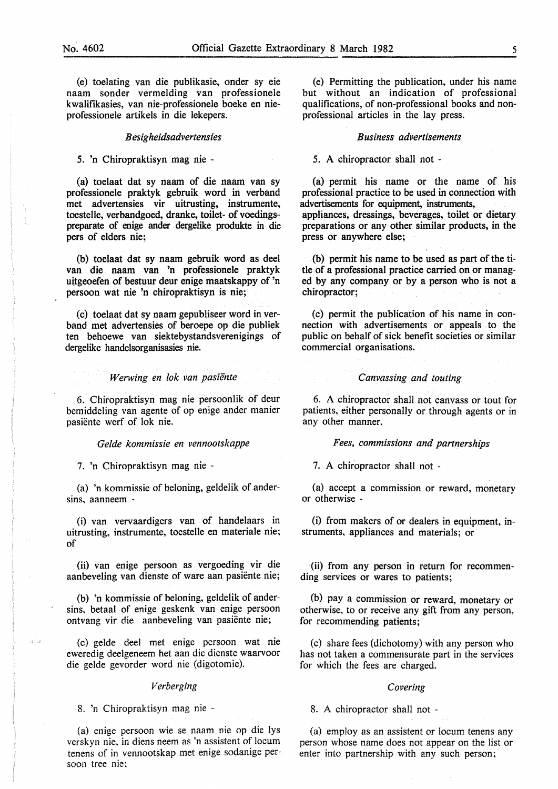(e) toelating van die publikasie, onder sy eie naam sonder vermelding van professionele kwalifikasies, van nie-professionele boeke en nieprofessionele artikels in die lekepers.

#### *B esigheidsadvertensies*

#### 5. 'n Chiropraktisyn mag nie -

(a) toelaat dat sy naam of die naam van sy professionele praktyk gebruik word in verband met advertensies vir uitrusting, instrumente, toestelle, verbandgoed, dranke, toilet- of voedingspreparate of enige ander dergelike produkte in die pers of elders nie;

(b) toelaat dat sy naam gebruik word as deel van die naam van 'n professionele praktyk uitgeoefen of bestuur deur enige maatskappy of 'n persoon wat nie 'n chiropraktisyn is nie;

(c) toelaat dat sy naam gepubliseer word inverband met advertensies of beroepe op die publiek ten behoewe van siektebystandsverenigings of dergelike handelsorganisasies nie.

#### *Werwing en lok van pasiënte*

6. Chiropraktisyn mag nie persoonlik of deur bemiddeling van agente of op enige ander manier pasiente werf of lok nie.

#### *Gelde kommissie en vennootskappe*

7. 'n Chiropraktisyn mag nie -

(a) 'n kommissie of beloning, geldelik of andersins, aanneem -

(i) van vervaardigers van of handelaars in uitrusting, instrumente, toestelle en materiale nie; of

(ii) van enige persoon as vergoeding vir die aanbeveling van dienste of ware aan pasiente nie;

(b) 'n kommissie of beloning, geldelik of andersins, betaal of enige geskenk van enige persoon ontvang vir die aanbeveling van pasiente nie;

(c) gelde dee! met enige persoon wat nie eweredig deelgeneem het aan die dienste waarvoor die gelde gevorder word nie (digotomie).

#### *Verberging*

#### 8. 'n Chiropraktisyn mag nie -

or<br>Skrivati

(a) enige persoon wie se naam nie op die lys verskyn nie. in diens neem as 'n assistent of locum tenens of in vennootskap met enige sodanige persoon tree nie:

(e) Permitting the publication, under his name but without an indication of professional qualifications, of non-professional books and nonprofessional articles in the lay press.

#### *Business advertisements*

5. A chiropractor shall not -

(a) permit his name or the name of his professional practice to be used in connection with advertisements for equipment, instruments, appliances, dressings, beverages, toilet or dietary preparations or any· other similar products, in the press or anywhere else;

(b) permit his name to be used as part of the title of a professional practice carried on or managed by any company or by a person who is not a chiropractor;

(c) permit the publication of his name in connection with advertisements or appeals to the public on behalf of sick benefit societies or similar commercial organisations.

#### *Canvassing and touting*

6. A chiropractor shall not canvass or tout for patients, either personally or through agents or in any other manner.

#### *Fees, commissions and partnerships*

7. A chiropractor shall not -

(a) accept a commission or reward, monetary or otherwise -

(i) from makers of or dealers in equipment, instruments, appliances and materials; or

(ii) from any person in return for recommending services or wares to patients;

(b) pay a commission or reward, monetary or otherwise, to or receive any gift from any person, for recommending patients;

(c) share fees (dichotomy) with any person who has not taken a commensurate part in the services for which the fees are charged.

#### *Covering*

8. A chiropractor shall not -

(a) employ as an assistent or locum tenens any person whose name does not appear on the list or enter into partnership with any such person;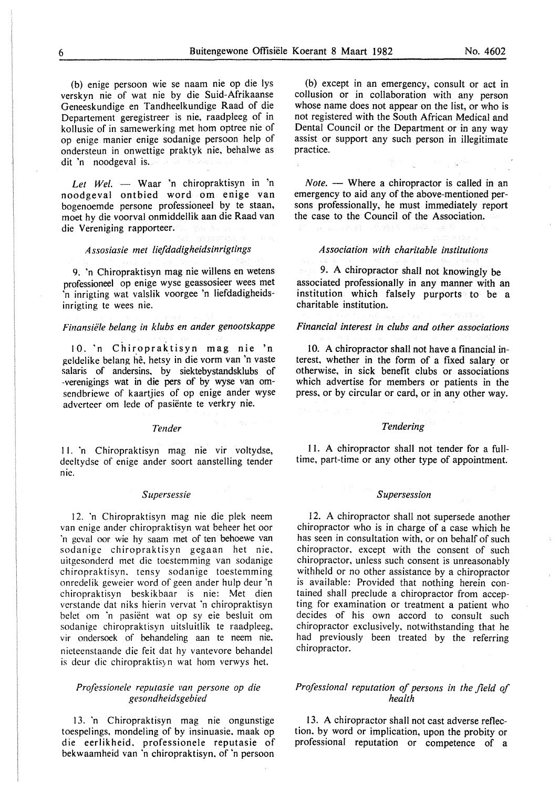(b) enige persoon wie se naam nie op die lys verskyn nie of wat nie by die Suid-Afrikaanse Geneeskundige en Tandheelkundige Raad of die Departement geregistreer is nie, raadpleeg of in kollusie of in samewerking met hom optree nie of op enige manier enige sodanige persoon help of ondersteun in onwettige praktyk nie, behalwe as dit 'n noodgeval is.

*Let Wel.* — Waar 'n chiropraktisyn in 'n noodgeval ontbied word om enige van bogenoemde persone professioneel by te staan, moet hy die voorval onmiddellik aan die Raad van die Vereniging rapporteer.

#### *A ssosiasie met !iefdadigheidsinrigtings*

9. 'n Chiropraktisyn mag nie willens en wetens professioneel op enige wyse geassosieer wees met 'n inrigting wat valslik voorgee 'n Iiefdadigheidsinrigting te wees nie.

#### *Finansiiile belang in klubs en ander genootskappe*

10. 'n Chiropraktisyn mag nie 'n geldelike belang hê, hetsy in die vorm van 'n vaste salaris of andersins, by siektebystandsklubs of -verenigings wat in die pers of by wyse van omscndbricwe of kaartjies of op enige ander wyse adverteer om lede of pasiente te verkry nie.

#### *Tender*

I I. 'n Chiropraktisyn mag nie vir voltydse, deeltydse of enige ander soort aanstelling tender me.

#### *Supersessie*

12. 'n Chiropraktisyn mag nie die plek neem van cnige ander chiropraktisyn wat beheer het oor 'n gcval oor wie hy saam met of ten behoewe van sodanigc chiropraktisyn gegaan het nie, uitgcsonderd met die toestemming van sodanige chiropraktisyn. tensy sodanige toestemming onrcdelik geweier word of geen ander hulp deur 'n chiropraktisyn beskikbaar is nie: Met dien vcrstande dat niks hierin vervat 'n chiropraktisyn bclet om 'n pasient wat op sy eie besluit om sodanige chiropraktisyn uitsluitlik te raadpleeg. vir ondersoek of behandeling aan te neem nie, nieteenstaande die feit dat hy vantevore behandel is deur die chiropraktisyn wat hom verwys het.

#### *Professione/e reputasie* t•an *persone op die gesondheidsgebied*

13. 'n Chiropraktisyn mag nie ongunstige toespelings. mondeling of by insinuasie. maak op die eerlikheid. professionele reputasie of bekwaamheid van 'n chiropraktisyn. of 'n persoon

{b) except in an emergency, consult or act in collusion or in collaboration with any person whose name does not appear on the list, or who is not registered with the South African Medical and Dental Council or the Department or in any way assist or support any such person in illegitimate practice.

*Note.* — Where a chiropractor is called in an emergency to aid any of the above-mentioned persons professionally, he must immediately report the case to the Council of the Association.

#### *Association with charitable institutions*

9. A chiropractor shall not knowingly be associated professionally in any manner with an institution which falsely purports to be a charitable institution.

#### *Financial interest in clubs and other associations*

10. A chiropractor shall not have a financial interest, whether in the form of a fixed salary or otherwise, in sick benefit clubs or associations which advertise for members or patients in the press, or by circular or card, or in any other way.

#### *Tendering*

11. A chiropractor shall not tender for a fulltime, part-time or any other type of appointment.

#### *Supersession*

12. A chiropractor shall not supersede another chiropractor who is in charge of a case which he has seen in consultation with, or on behalf of such chiropractor, except with the consent of such chiropractor, unless such consent is unreasonably withheld or no other assistance by a chiropractor is available: Provided that nothing herein contained shall preclude a chiropractor from accepting for examination or treatment a patient who decides of his own accord to consult such chiropractor exclusively, notwithstanding that he had previously been treated by the referring chiropractor.

#### *Professional reputation of persons in the field of health*

13. A chiropractor shall not cast adverse reflection. by word or implication, upon the probity or professional reputation or competence of a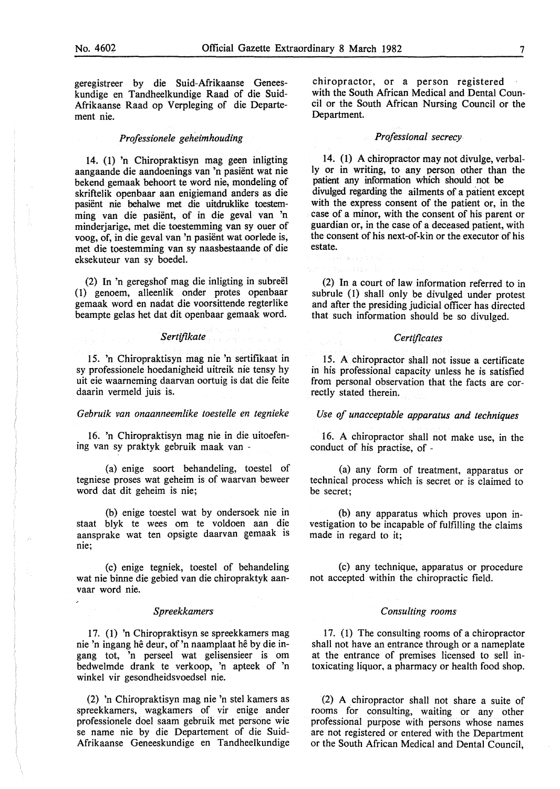geregistreer by die Suid-Afrikaanse Geneeskundige en Tandheelkundige Raad of die Suid-Afrikaanse Raad op Verpleging of die Departement nie.

#### *Professionele geheimhouding*

14. ( 1) 'n Chiropraktisyn mag geen inligting aangaande die aandoenings van 'n pasient wat nie bekend gemaak behoort te word nie, mondeling of skriftelik openbaar aan enigiemand anders as die pasient nie behalwe met die uitdruklike toestemming van die pasient, of in die geval van 'n minderjarige, met die toestemming van sy ouer of voog, of, in die geval van 'n pasient wat oorlede is, met die toestemming van sy naasbestaande of die eksekuteur van sy boedel.

(2) In 'n geregshof mag die inligting in subreël (1) genoem, alleenlik onder protes openbaar gemaak word en nadat die voorsittende regterlike beampte gelas bet dat dit openbaar gemaak word.

#### *Sertifikate*

15. 'n Chiropraktisyn mag nie 'n sertifikaat in sy professionele hoedanigheid uitreik nie tensy hy uit eie waarneming daarvan oortuig is dat die feite daarin vermeld juis is.

#### *Gebruik van onaanneemlike toestelle en tegnieke*

16. 'n Chiropraktisyn mag nie in die uitoefening van sy praktyk gebruik maak van -

(a) enige soort behandeling, toestel of tegniese proses wat geheim is of waarvan beweer word dat dit geheim is nie;

(b) enige toestel wat by ondersoek nie in staat blyk te wees om te voldoen aan die aansprake wat ten opsigte daarvan gemaak is nie;

(c) enige tegniek, toestel of behandeling wat nie binne die gebied van die chiropraktyk aanvaar word nie.

#### *Spreekkamers*

17. (1) 'n Chiropraktisyn se spreekkamers mag nie 'n ingang he deur, of 'n naamplaat he by die ingang tot, 'n perseel wat gelisensieer is om bedwelmde drank te verkoop, 'n apteek of 'n winkel vir gesondheidsvoedsel nie.

(2) 'n Chiropraktisyn mag nie 'n stel kamers as spreekkamers, wagkamers of vir enige ander professionele doel saam gebruik met persone wie se name nie by die Departement of die Suid-Afrikaanse Geneeskundige en Tandheelkundige chiropractor, or a person registered with the South African Medical and Dental Council or the South African Nursing Council or the Department.

#### *Professional secrecy*

14. (1) A chiropractor may not divulge, verbally or in writing, to any person other than the patient any information which should not be divulged regarding the ailments of a patient except with the express consent of the patient or, in the case of a minor, with the consent of his parent or guardian or, in the case of a deceased patient, with the consent of his next-of-kin or the executor of his estate.

(2) In a court of law information referred to in subrule (1) shall only be divulged under protest and after the presiding judicial officer has directed that such information should be so divulged.

#### *Certificates*

15. A chiropractor shall not issue a certificate in his professional capacity unless he is satisfied from personal observation that the facts are correctly stated therein.

#### *Use of unacceptable apparatus and techniques*

16. A chiropractor shall not make use, in the conduct of his practise, of -

(a) any form of treatment, apparatus or technical process which is secret or is claimed to be secret;

(b) any apparatus which proves upon investigation to be incapable of fulfilling the claims made in regard to it;

(c) any technique, apparatus or procedure not accepted within the chiropractic field.

#### *Consulting rooms*

17. (I) The consulting rooms of a chiropractor shall not have an entrance through or a nameplate at the entrance of premises licensed to sell intoxicating liquor, a pharmacy or health food shop.

(2) A chiropractor shall not share a suite of rooms for consulting, waiting or any other professional purpose with persons whose names are not registered or entered with the Department or the South African Medical and Dental Council,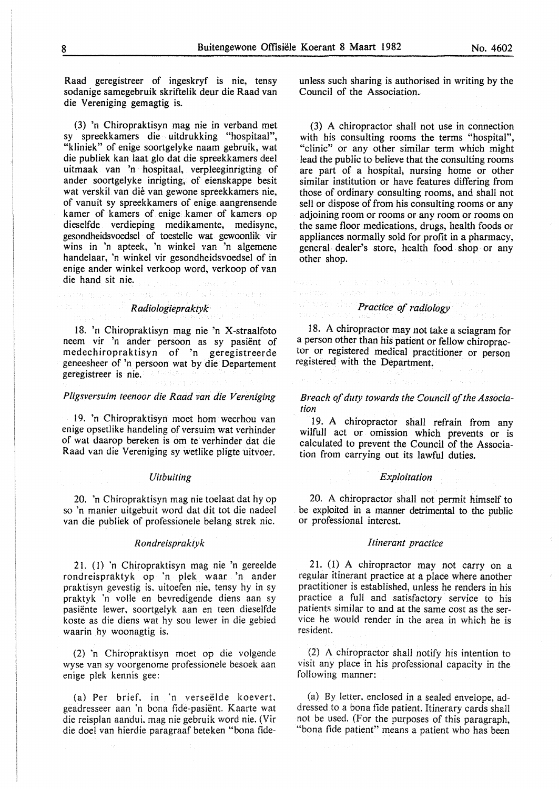Raad geregistreer of ingeskryf is nie, tensy sodanige samegebruik skriftelik deur die Raad van die Vereniging gemagtig is.

(3) 'n Chiropraktisyn mag nie in verband met sy spreekkamers die uitdrukking "hospitaal", "kliniek" of enige soortgelyke naam gebruik, wat die publiek kan laat glo dat die spreekkamers deel uitmaak van 'n hospitaal, verpleeginrigting of ander soortgelyke inrigting, of eienskappe besit wat verskil van die van gewone spreekkamers nie, of vanuit sy spreekkamers of enige aangrensende kamer of kamers of enige kamer of kamers op dieselfde verdieping medikamente, medisyne, gesondheidsvoedsel of toestelle wat gewoonlik vir wins in 'n apteek, 'n winkel van 'n algemene handelaar, 'n winkel vir gesondheidsvoedsel of in enige ander winkel verkoop word, verkoop of van die hand sit nie.

### *R adiologiepraktyk*

法国有着 人名利尔

18. 'n Chiropraktisyn mag nie 'n X-straalfoto neem vir 'n ander persoon as sy pasient of medechiropraktisyn of 'n geregistreerde geneesheer of 'n persoon wat by die Departement geregistreer is nie.

#### *Pligsversuim teenoor die Raad van die Vereniging*

19. 'n Chiropraktisyn moet hom weerhou van enige opsetlike handeling of versuim wat verhinder of wat daarop bereken is om te verhinder dat die Raad van die Vereniging sy wetlike pligte uitvoer.

#### *Uitbuiting*

20. 'n Chiropraktisyn mag nie toelaat dat hy op so 'n manier uitgebuit word dat dit tot die nadeel van die publiek of professionele belang strek nie.

#### *R ondreispraktyk*

21. (I) 'n Chiropraktisyn mag nie 'n gereelde rondreispraktyk op 'n plek waar 'n ander praktisyn gevestig is, uitoefen nie, tensy hy in sy praktyk 'n voile en bevredigende diens aan sy pasiënte lewer, soortgelyk aan en teen dieselfde koste as die diens wat hy sou !ewer in die gebied waarin hy woonagtig is.

(2) 'n Chiropraktisyn moet op die volgende wyse van sy voorgenome professionele besoek aan enige plek kennis gee:

(a) Per brief, in 'n verseëlde koevert, geadresseer aan 'n bona fide-pasient. Kaarte wat die reisplan aandui. mag nie gebruik word nie. (Vir die doe! van hierdie paragraaf beteken "bona fideunless such sharing is authorised in writing by the Council of the Association.

(3) A chiropractor shall not use in connection with his consulting rooms the terms "hospital", "clinic" or any other similar term which might lead the public to believe that the consulting rooms are part of a hospital, nursing home or other similar institution or have features differing from those of ordinary consulting rooms, and shall not sell or dispose of from his consulting rooms or any adjoining room or rooms or any room or rooms on the same floor medications, drugs, health foods or appliances normally sold for profit in a pharmacy, general dealer's store, health food shop or any other shop.

## *Practice of radiology*

adawa shekara wa mashi wa Magazari ya Tanz

18. A chiropractor may not take a sciagram for a person other than his patient or fellow chiropractor or registered medical practitioner or person registered with the Department.

#### *Breach of duty towards the Council of the Association*

19. A chiropractor shall refrain from any wilfull act or omission which prevents or is calculated to prevent the Council of the Association from carrying out its lawful duties.

#### *Exploitation*

20. A chiropractor shall not permit himself to be exploited in a manner detrimental to the public or professional interest.

#### *Itinerant practice*

21. (1) A chiropractor may not carry on a regular itinerant practice at a place where another practitioner is established, unless he renders in his practice a full and satisfactory service to his patients similar to and at the same cost as the service he would render in the area in which he is resident.

(2) A chiropractor shall notify his intention to visit any place in his professional capacity in the following manner:

(a) By letter, enclosed in a sealed envelope, addressed to a bona fide patient. Itinerary cards shall not be used. (For the purposes of this paragraph, "bona fide patient" means a patient who has been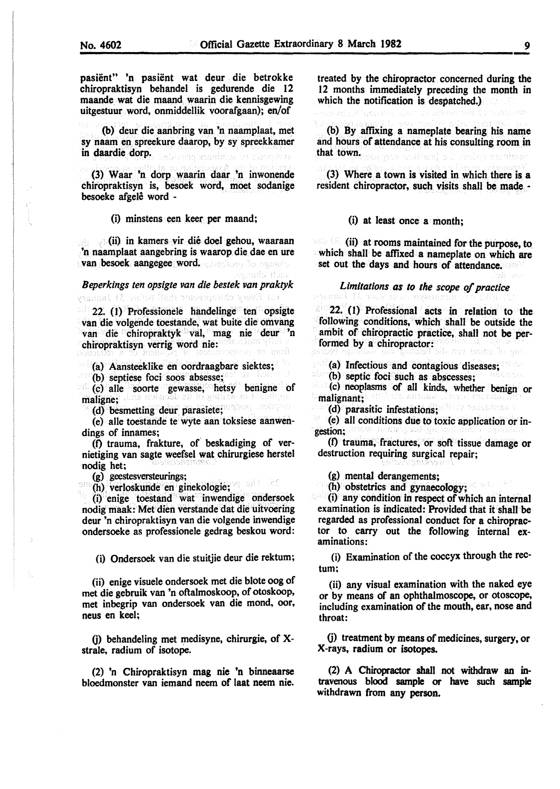pasient" 'n pasient wat deur die betrokke chiropraktisyn behandel is gedurende die 12 maande. wat die maand waarin die kennisgewing uitgestuur word, onmiddellik voorafgaan); en/of

(b) deur die aanbring van 'n naamplaat, met sy naam en spreekure daarop, by sy spreekkamer in daardie dorp. Abera sunina a clubase

(3) Waar 'n dorp waarin daar 'n inwonende chiropraktisyn is, besoek word, moet sodanige besoeke afgele word -

(i) minstens een kee~ per maand;

(ii) in kamers vir die doel gehou, waaraan 'n naamplaat aangebring is waarop die dae en ure van besoek aangegee word.

*Beperkings ten opsigte van die bestek van praktyk*  Ul Desvieto proposto shall before Milanusev

Permits the

22. (1) Professionele handelinge ten opsigte van die volgende toestande, wat buite die omvang van die chiropraktyk · val, mag nie deur 'n chiropraktisyn verrig word nie:

(a) Aansteeklike en oordraagbare siektes;

(b) septiese foci soos absesse;

(c) aile soorte gewasse, betsy benigne of maligne;

(d) besmetting deur parasiete;

(e) aile toestande te wyte aan toksiese aanwendings of innames;

(0 trauma, frakture, *o(* beskadiging of vernietiging van sagte weefsel wat chirurgiese herstel nodig het;

(g) geestesversteurings;

<sup>om</sup> (h) verloskunde en ginekologie;

. (i) enige toestand wat . inwendige ondersoek nodig maak: Met dien verstande dat die uitvoering deur 'n chiropraktisyn van die volgende inwendige ondersoeke as professionele gedrag beskou word:

(i) Ondersoek van die stuitjie deur die rektum;

(ii) enige visuele ondersoek met die blote oog of met die gebruik van 'n oftalmoskoop, of otoskoop, met inbegrip van ondersoek van die mond, oor, neus en keel;

0) behandeling met medisyne, chirurgie, of Xstrale, radium of isotope.

(2) 'n Chiropraktisyn mag nie 'n binneaarse bloedmonster van iemand neem of laat neem nie. treated by the chiropractor concerned during the 12 months immediately preceding the month in which the notification is despatched.)

(b) By affixing a nameplate bearing his name and hours of attendance at his consulting room in that town. acibed si seles mains

(3) Where a town is visited in which there is a resident chiropractor, such visits shall be made -

(i) at least once a month;

 $\sim$  (ii) at rooms maintained for the purpose, to. which shall be affixed a nameplate on which are set out the days and hours of attendance.

## *Limitations as to the scope of practice*

 $22$  (1) Professional acts in relation to the following conditions, which shall be outside the ambit of chiropractic practice, shall not be performed by a chiropractor: was well as a confirmed by a chiropractor:

(a) Infectious and contagious diseases;

(b) septic foci such as abscesses;

(c) neoplasms of all kinds, whether benign or malignant;

(d) parasitic infestations;

(e) all conditions due to toxic application or ingestion;

(f) trauma, fractures, or soft tissue damage or destruction requiring surgical repair;

(g) mental derangements;

(h) obstetrics and gynaecology;

(i) any condition in respect of which an internal examination is indicated: Provided that it shall be regarded as professional conduct for a chiropractor to carry out the following internal examinations:

(i) Examination of the coccyx through the rectum;

(ii) any visual examination with the naked eye or by means of an ophthalmoscope, or otoscope, including examination of the mouth, ear, nose and throat:

(j) treatment by means of medicines, surgery, or X-rays, radium or isotopes.

(2) A Chiropractor shall not withdraw an intravenous blood sample or have such sample withdrawn from any person.